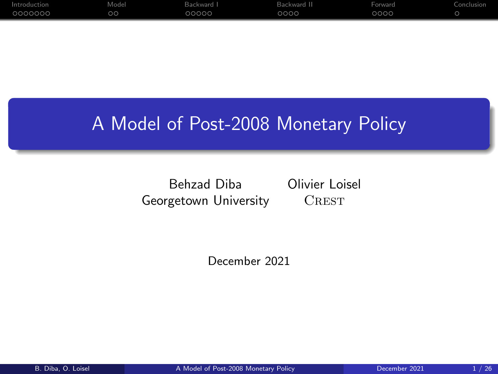| Introduction | Model   | Backward I | Backward II | Forward | Conclusion |
|--------------|---------|------------|-------------|---------|------------|
| 0000000      | $\circ$ | 00000      | 0000        | 0000    |            |

#### A Model of Post-2008 Monetary Policy

Behzad Diba Olivier Loisel Georgetown University **CREST** 

December 2021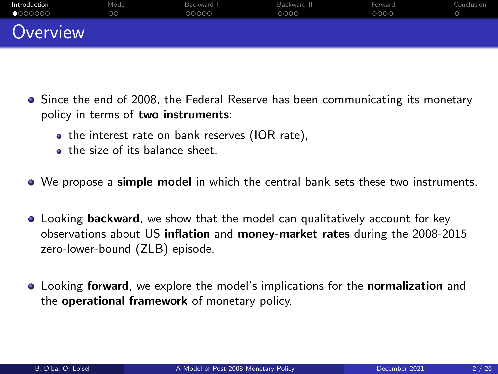<span id="page-1-0"></span>

| Introduction     | Model   | Backward I | Backward II | Forward | Conclusion |
|------------------|---------|------------|-------------|---------|------------|
| $\bullet$ 000000 | $\circ$ | 00000      | 0000        | 0000    |            |
| Overview         |         |            |             |         |            |

- Since the end of 2008, the Federal Reserve has been communicating its monetary policy in terms of two instruments:
	- the interest rate on bank reserves (IOR rate),
	- the size of its balance sheet.
- We propose a simple model in which the central bank sets these two instruments.
- Looking backward, we show that the model can qualitatively account for key observations about US inflation and money-market rates during the 2008-2015 zero-lower-bound (ZLB) episode.
- **Looking forward, we explore the model's implications for the normalization** and the operational framework of monetary policy.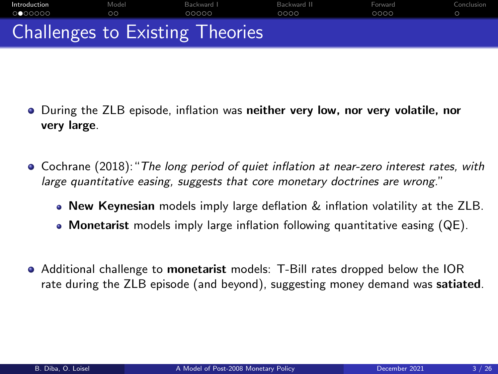# **[Introduction](#page-1-0)** [Model](#page-8-0) [Backward I](#page-10-0) Backward I [Backward II](#page-15-0) [Forward](#page-19-0) [Conclusion](#page-23-0) Challenges to Existing Theories

- **•** During the ZLB episode, inflation was neither very low, nor very volatile, nor very large.
- Cochrane (2018):"The long period of quiet inflation at near-zero interest rates, with large quantitative easing, suggests that core monetary doctrines are wrong."
	- New Keynesian models imply large deflation & inflation volatility at the ZLB.
	- Monetarist models imply large inflation following quantitative easing (QE).
- Additional challenge to monetarist models: T-Bill rates dropped below the IOR rate during the ZLB episode (and beyond), suggesting money demand was satiated.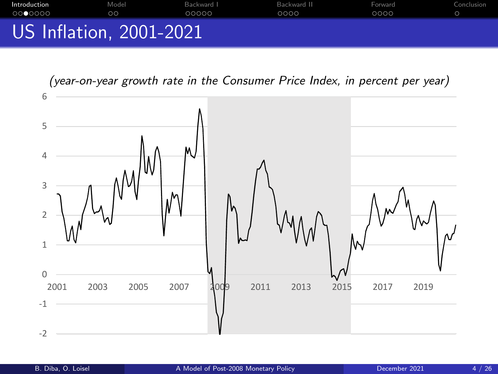## **[Introduction](#page-1-0)** [Model](#page-8-0) [Backward I](#page-10-0) Backward I [Backward II](#page-15-0) [Forward](#page-19-0) [Conclusion](#page-23-0) US Inflation, 2001-2021

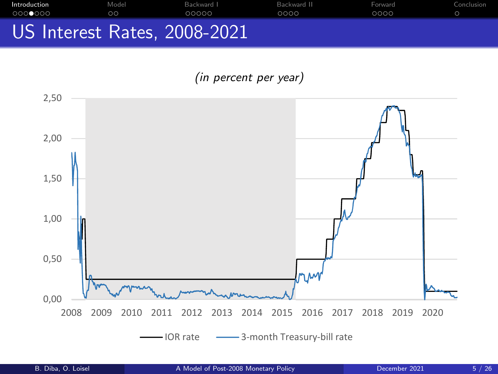**[Introduction](#page-1-0)** Model Backward I Backward I Backward II Forward Conclusion US Interest Rates, 2008-2021 example and Model and Backward I<br>And Alberta Andrew Andrew Andrew Andrew Andrew Andrew Andrew Andrew Andrew Andrew Andrew Andrew Andrew Andrew Exchanged Backward Booo Backward Cooo Backward Cooo<br>
Interest Rates, [2](#page-21-0)[0](#page-22-0)08-2021<br>
2,50

(in percent per year) -2012 - 2012 - 2012 - 2012 - 2012 - 2012 - 2012 - 2012 - 2012 - 2012 - 2012 - 2012 - 2012 - 2013 - 2014 - 201<br>1914 - 2013 - 2014 - 2014 - 2014 - 2014 - 2014 - 2014 - 2014 - 2014 - 2014 - 2014 - 2014 - 2014 - 2014 - 2014<br>19

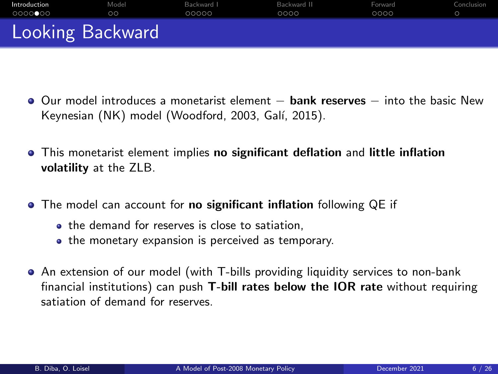<span id="page-5-0"></span>

| Introduction     | Model | Backward I | Backward II | Forward | Conclusion |
|------------------|-------|------------|-------------|---------|------------|
| 0000000          | oo    | 00000      | 0000        | 0000    |            |
| Looking Backward |       |            |             |         |            |

- O Our model introduces a monetarist element **bank reserves** into the basic New Keynesian (NK) model (Woodford, 2003, Galí, 2015).
- This monetarist element implies no significant deflation and little inflation volatility at the ZLB.
- **•** The model can account for **no significant inflation** following QE if
	- the demand for reserves is close to satiation.
	- the monetary expansion is perceived as temporary.
- An extension of our model (with T-bills providing liquidity services to non-bank financial institutions) can push T-bill rates below the IOR rate without requiring satiation of demand for reserves.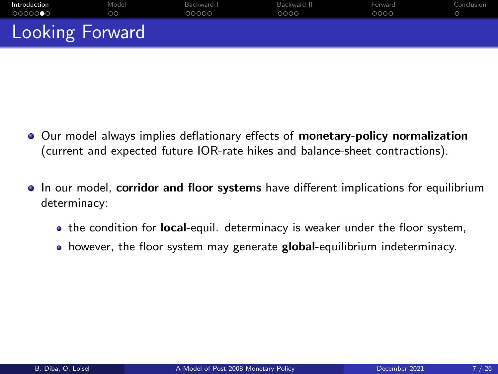<span id="page-6-0"></span>

| Introduction    | Model | Backward I | Backward II | Forward | Conclusion |
|-----------------|-------|------------|-------------|---------|------------|
| 0000000         | oo    | 00000      | 0000        | 0000    |            |
| Looking Forward |       |            |             |         |            |

- Our model always implies deflationary effects of monetary-policy normalization (current and expected future IOR-rate hikes and balance-sheet contractions).
- In our model, corridor and floor systems have different implications for equilibrium determinacy:
	- the condition for **local**-equil. determinacy is weaker under the floor system,
	- however, the floor system may generate **global**-equilibrium indeterminacy.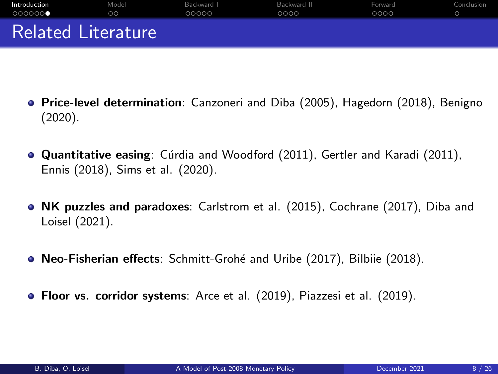<span id="page-7-0"></span>

| Introduction              | Model | Backward L | Backward II | Forward | Conclusion |
|---------------------------|-------|------------|-------------|---------|------------|
| 0000000                   | oo    | 00000      | 0000        | 0000    |            |
| <b>Related Literature</b> |       |            |             |         |            |

- Price-level determination: Canzoneri and Diba (2005), Hagedorn (2018), Benigno (2020).
- **Quantitative easing**: Cúrdia and Woodford (2011), Gertler and Karadi (2011), Ennis (2018), Sims et al. (2020).
- NK puzzles and paradoxes: Carlstrom et al. (2015), Cochrane (2017), Diba and Loisel (2021).
- Neo-Fisherian effects: Schmitt-Grohé and Uribe (2017), Bilbiie (2018).
- **Floor vs. corridor systems**: Arce et al. (2019), Piazzesi et al. (2019).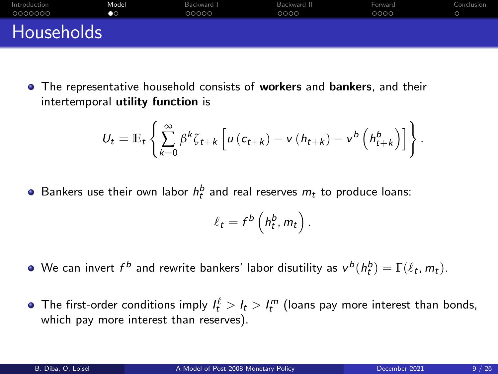<span id="page-8-0"></span>

| Introduction      | Model | Backward I | Backward II | Forward | Conclusion |
|-------------------|-------|------------|-------------|---------|------------|
| 0000000           | œ     | 00000      | 0000        | 0000    |            |
| <b>Households</b> |       |            |             |         |            |

**•** The representative household consists of workers and bankers, and their intertemporal utility function is

$$
U_t = \mathbb{E}_t \left\{ \sum_{k=0}^{\infty} \beta^k \zeta_{t+k} \left[ u \left( c_{t+k} \right) - v \left( h_{t+k} \right) - v^b \left( h_{t+k}^b \right) \right] \right\}.
$$

Bankers use their own labor  $h_t^b$  and real reserves  $m_t$  to produce loans:

$$
\ell_t = f^b\left(h_t^b, m_t\right).
$$

- We can invert  $f^b$  and rewrite bankers' labor disutility as  $v^b(h^b_t)=\Gamma(\ell_t,m_t)$ .
- The first-order conditions imply  $l_t^{\ell} > l_t > l_t^m$  (loans pay more interest than bonds, which pay more interest than reserves).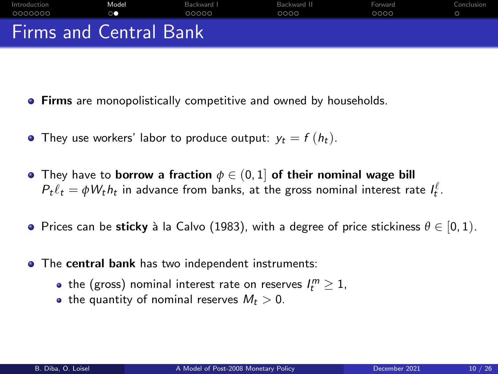<span id="page-9-0"></span>

| Introduction                  | Model | Backward I | Backward II | Forward | Conclusion |
|-------------------------------|-------|------------|-------------|---------|------------|
| 0000000                       | on 1  | 00000      | 0000        | 0000    |            |
| <b>Firms and Central Bank</b> |       |            |             |         |            |

- **Firms** are monopolistically competitive and owned by households.
- They use workers' labor to produce output:  $y_t = f(h_t)$ .
- **•** They have to **borrow** a fraction  $\phi \in (0,1]$  of their nominal wage bill  $P_t\ell_t = \phi W_t h_t$  in advance from banks, at the gross nominal interest rate  $I_t^{\ell}$ .
- **Prices can be sticky** à la Calvo (1983), with a degree of price stickiness  $\theta \in [0, 1)$ .
- The central bank has two independent instruments:
	- the (gross) nominal interest rate on reserves  $l_t^m\geq 1$ ,
	- the quantity of nominal reserves  $M_t > 0$ .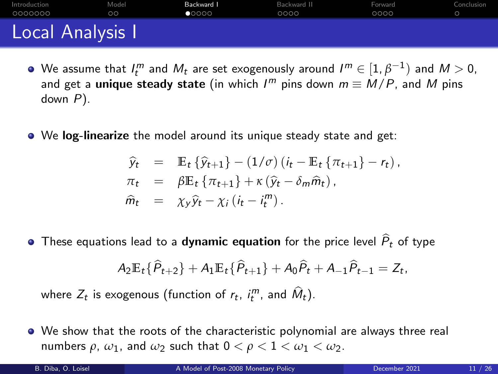<span id="page-10-0"></span>

| Introduction     | Model | Backward I     | Backward II | Forward | Conclusion |
|------------------|-------|----------------|-------------|---------|------------|
| 0000000          | ററ    | $\bullet$ 0000 | 0000        | 0000    |            |
| Local Analysis I |       |                |             |         |            |

- We assume that  $I_t^m$  and  $M_t$  are set exogenously around  $I^m \in [1,\beta^{-1})$  and  $M > 0$ , and get a u<mark>nique steady state</mark> (in which  $I^m$  pins down  $m \equiv M/P$ , and  $M$  pins down P).
- We log-linearize the model around its unique steady state and get:

$$
\widehat{y}_t = \mathbb{E}_t \{ \widehat{y}_{t+1} \} - (1/\sigma) (i_t - \mathbb{E}_t \{ \pi_{t+1} \} - r_t),
$$
  
\n
$$
\pi_t = \beta \mathbb{E}_t \{ \pi_{t+1} \} + \kappa (\widehat{y}_t - \delta_m \widehat{m}_t),
$$
  
\n
$$
\widehat{m}_t = \chi_y \widehat{y}_t - \chi_i (i_t - i_t^m).
$$

• These equations lead to a dynamic equation for the price level  $\widehat{P}_t$  of type

$$
A_2\mathbb{E}_t\{\widehat{P}_{t+2}\}+A_1\mathbb{E}_t\{\widehat{P}_{t+1}\}+A_0\widehat{P}_t+A_{-1}\widehat{P}_{t-1}=Z_t,
$$

where  $Z_t$  is exogenous (function of  $r_t$ ,  $i_t^m$ , and  $\widehat{M}_t$ ).

We show that the roots of the characteristic polynomial are always three real numbers  $\rho$ ,  $\omega_1$ , and  $\omega_2$  such that  $0 < \rho < 1 < \omega_1 < \omega_2$ .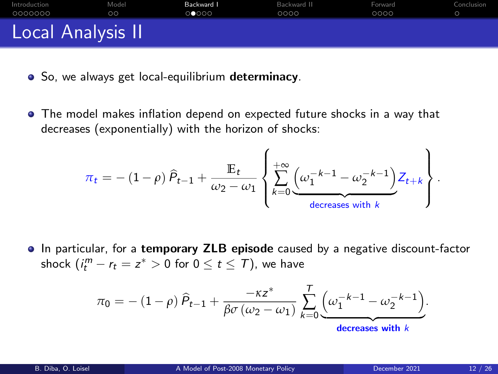<span id="page-11-0"></span>

| Introduction      | Model | Backward I | Backward II | Forward | Conclusion |
|-------------------|-------|------------|-------------|---------|------------|
| 0000000           | oo    | 0 0000     | 0000        | 0000    |            |
| Local Analysis II |       |            |             |         |            |

- So, we always get local-equilibrium determinacy.
- The model makes inflation depend on expected future shocks in a way that decreases (exponentially) with the horizon of shocks:

$$
\pi_t = - (1 - \rho) \hat{P}_{t-1} + \frac{\mathbb{E}_t}{\omega_2 - \omega_1} \left\{ \sum_{k=0}^{+\infty} \underbrace{(\omega_1^{-k-1} - \omega_2^{-k-1})}_{\text{decreases with } k} Z_{t+k} \right\}
$$

**In particular, for a temporary ZLB episode caused by a negative discount-factor** shock  $(i_t^m - r_t = z^* > 0$  for  $0 \le t \le T)$ , we have

$$
\pi_0 = -\left(1-\rho\right)\widehat{P}_{t-1} + \frac{-\kappa z^*}{\beta\sigma\left(\omega_2-\omega_1\right)}\sum_{k=0}^T \underbrace{\left(\omega_1^{-k-1}-\omega_2^{-k-1}\right)}_{\text{decreases with }k}.
$$

.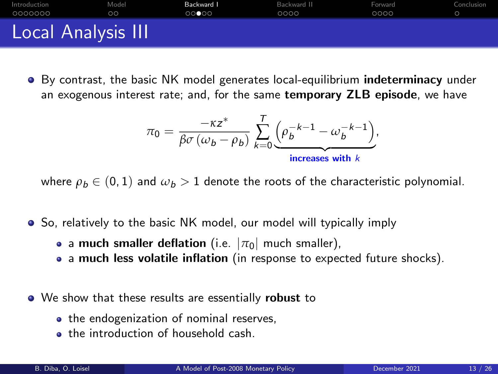<span id="page-12-0"></span>

| Introduction       | Model | Backward I | Backward II | Forward | Conclusion |
|--------------------|-------|------------|-------------|---------|------------|
| 0000000            | oo    | 00000      | 0000        | 0000    |            |
| Local Analysis III |       |            |             |         |            |

**By contrast, the basic NK model generates local-equilibrium indeterminacy under** an exogenous interest rate; and, for the same temporary ZLB episode, we have

$$
\pi_0 = \frac{-\kappa z^*}{\beta \sigma (\omega_b - \rho_b)} \sum_{k=0}^T \underbrace{\left(\rho_b^{-k-1} - \omega_b^{-k-1}\right)}_{\text{increases with } k},
$$

where  $\rho_b \in (0,1)$  and  $\omega_b > 1$  denote the roots of the characteristic polynomial.

- **So.** relatively to the basic NK model, our model will typically imply
	- a much smaller deflation (i.e.  $|\pi_0|$  much smaller),
	- a much less volatile inflation (in response to expected future shocks).
- We show that these results are essentially **robust** to
	- the endogenization of nominal reserves,
	- **the introduction of household cash.**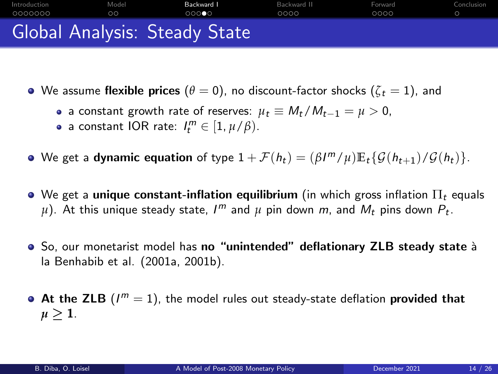<span id="page-13-0"></span>

- $\bullet$  We assume flexible prices  $(\theta = 0)$ , no discount-factor shocks  $(\zeta_t = 1)$ , and
	- a constant growth rate of reserves:  $\mu_t \equiv M_t/M_{t-1} = \mu > 0$ ,
	- a constant IOR rate:  $I_t^m \in [1, \mu/\beta)$ .
- We get a **dynamic equation** of type  $1 + \mathcal{F}(h_t) = (\beta I^m / \mu) \mathbb{E}_t \{ \mathcal{G}(h_{t+1}) / \mathcal{G}(h_t) \}.$
- $\bullet$  We get a unique constant-inflation equilibrium (in which gross inflation  $\Pi_t$  equals  $\mu$ ). At this unique steady state,  $I^m$  and  $\mu$  pin down  $m$ , and  $M_t$  pins down  $P_t.$
- So, our monetarist model has no "unintended" deflationary ZLB steady state à la Benhabib et al. (2001a, 2001b).
- At the ZLB  $(I^m = 1)$ , the model rules out steady-state deflation provided that  $\mu > 1$ .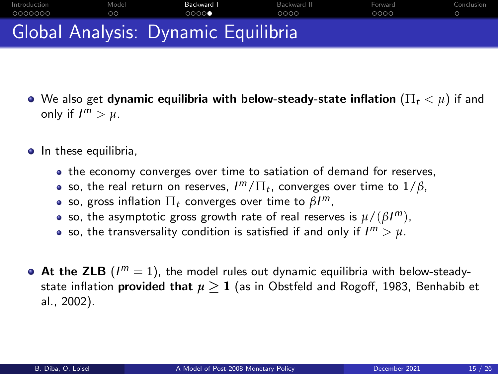## <span id="page-14-0"></span>[Introduction](#page-1-0) [Model](#page-8-0) [Backward I](#page-10-0) [Backward II](#page-15-0) [Forward](#page-19-0) [Conclusion](#page-23-0) Global Analysis: Dynamic Equilibria

- $\bullet$  We also get dynamic equilibria with below-steady-state inflation  $(\Pi_t < \mu)$  if and only if  $I^m > \mu$ .
- In these equilibria,
	- the economy converges over time to satiation of demand for reserves,
	- so, the real return on reserves,  $I^m/\Pi_t$ , converges over time to  $1/\beta$ ,
	- so, gross inflation  $\Pi_t$  converges over time to  $\beta I^m$ ,
	- so, the asymptotic gross growth rate of real reserves is  $\mu/(\beta I^m)$ ,
	- so, the transversality condition is satisfied if and only if  $I^m > \mu$ .
- At the ZLB  $(I^m = 1)$ , the model rules out dynamic equilibria with below-steadystate inflation **provided that**  $\mu \geq 1$  (as in Obstfeld and Rogoff, 1983, Benhabib et al., 2002).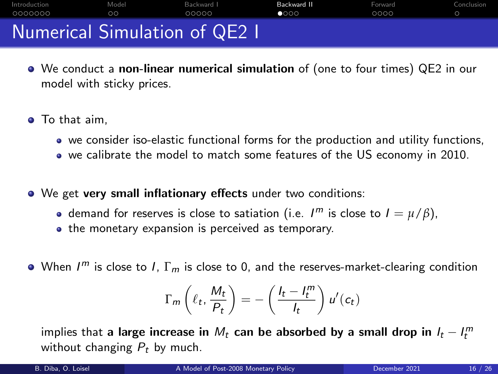<span id="page-15-0"></span>[Introduction](#page-1-0) [Model](#page-8-0) [Backward I](#page-10-0) [Backward II](#page-15-0) [Forward](#page-19-0) [Conclusion](#page-23-0) Numerical Simulation of QE2 I

- We conduct a non-linear numerical simulation of (one to four times) QE2 in our model with sticky prices.
- **•** To that aim,
	- we consider iso-elastic functional forms for the production and utility functions,
	- we calibrate the model to match some features of the US economy in 2010.
- We get very small inflationary effects under two conditions:
	- demand for reserves is close to satiation (i.e.  $I^m$  is close to  $I = \mu/\beta$ ),
	- the monetary expansion is perceived as temporary.
- When  $I^m$  is close to I,  $\Gamma_m$  is close to 0, and the reserves-market-clearing condition

$$
\Gamma_m\left(\ell_t, \frac{M_t}{P_t}\right) = -\left(\frac{I_t - I_t^m}{I_t}\right)u'(c_t)
$$

implies that <mark>a large increase in</mark>  $M_t$  can be absorbed by a small drop in  $I_t-I_t^m$ without changing  $P_t$  by much.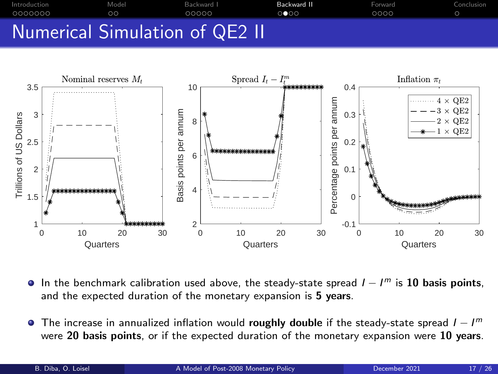<span id="page-16-0"></span>



- In the benchmark calibration used above, the steady-state spread  $I I<sup>m</sup>$  is 10 basis points, and the expected duration of the monetary expansion is 5 years.
- The increase in annualized inflation would roughly double if the steady-state spread  $I I<sup>m</sup>$ were 20 basis points, or if the expected duration of the monetary expansion were 10 years.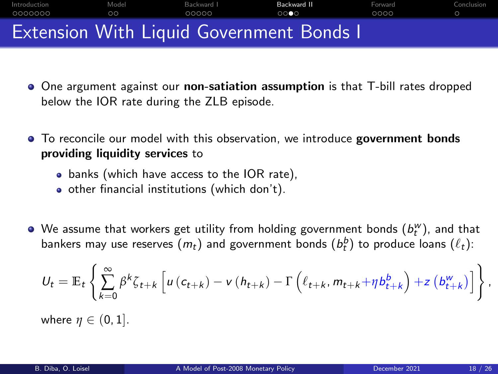<span id="page-17-0"></span>

- One argument against our non-satiation assumption is that T-bill rates dropped below the IOR rate during the ZLB episode.
- $\bullet$  To reconcile our model with this observation, we introduce government bonds providing liquidity services to
	- banks (which have access to the IOR rate),
	- o other financial institutions (which don't).
- We assume that workers get utility from holding government bonds  $(b_t^w)$ , and that bankers may use reserves  $(m_t)$  and government bonds  $(b^b_t)$  to produce loans  $(\ell_t)$ :

$$
U_t = \mathbb{E}_t \left\{ \sum_{k=0}^{\infty} \beta^k \zeta_{t+k} \left[ u \left( c_{t+k} \right) - v \left( h_{t+k} \right) - \Gamma \left( \ell_{t+k}, m_{t+k} + \eta b_{t+k}^b \right) + z \left( b_{t+k}^w \right) \right] \right\}
$$

where  $\eta \in (0,1]$ .

,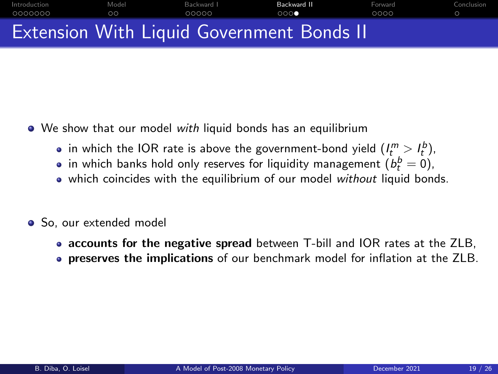<span id="page-18-0"></span>

- We show that our model with liquid bonds has an equilibrium
	- in which the IOR rate is above the government-bond yield  $(I_t^m > I_t^b)$ ,
	- in which banks hold only reserves for liquidity management  $(\mathit{b}_{t}^{b}=0)$ ,
	- which coincides with the equilibrium of our model without liquid bonds.
- So, our extended model
	- accounts for the negative spread between T-bill and IOR rates at the ZLB,
	- **preserves the implications** of our benchmark model for inflation at the ZLB.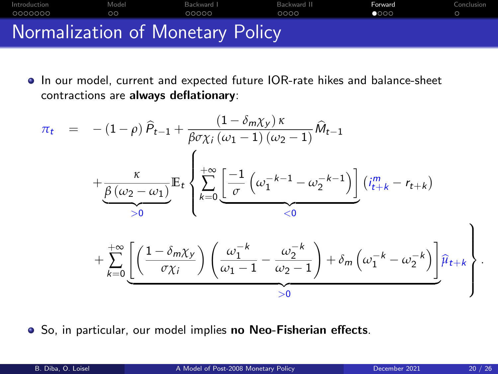## <span id="page-19-0"></span>[Introduction](#page-1-0) [Model](#page-8-0) [Backward I](#page-10-0) [Backward II](#page-15-0) Backward II [Forward](#page-19-0) [Conclusion](#page-23-0) Normalization of Monetary Policy

In our model, current and expected future IOR-rate hikes and balance-sheet contractions are always deflationary:

$$
\pi_t = -(1-\rho)\widehat{P}_{t-1} + \frac{(1-\delta_m\chi_y)\kappa}{\beta\sigma\chi_i(\omega_1-1)(\omega_2-1)}\widehat{M}_{t-1}
$$

$$
+\underbrace{\frac{\kappa}{\beta(\omega_2-\omega_1)}}_{>0}\mathbb{E}_t\left\{\sum_{k=0}^{+\infty}\underbrace{\left[\frac{-1}{\sigma}\left(\omega_1^{-k-1}-\omega_2^{-k-1}\right)\right]}_{<0}\left(i_{t+k}^m-r_{t+k}\right)\right\}
$$

$$
+\sum_{k=0}^{+\infty}\underbrace{\left[\left(\frac{1-\delta_m\chi_y}{\sigma\chi_i}\right)\left(\frac{\omega_1^{-k}}{\omega_1-1}-\frac{\omega_2^{-k}}{\omega_2-1}\right)+\delta_m\left(\omega_1^{-k}-\omega_2^{-k}\right)\right]}_{>0}\hat{\mu}_{t+k}
$$

**•** So, in particular, our model implies no Neo-Fisherian effects.

 $\mathcal{L}$ 

.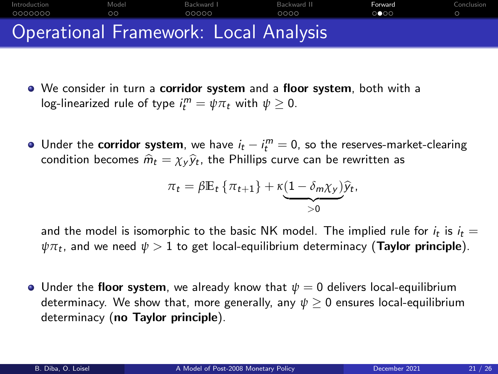<span id="page-20-0"></span>

- We consider in turn a corridor system and a floor system, both with a log-linearized rule of type  $i_t^m = \psi \pi_t$  with  $\psi \geq 0$ .
- Under the corridor system, we have  $i_t i_t^m = 0$ , so the reserves-market-clearing condition becomes  $\widehat{m}_t = \chi_y \widehat{y}_t$ , the Phillips curve can be rewritten as

$$
\pi_t = \beta \mathbb{E}_t \left\{ \pi_{t+1} \right\} + \kappa \underbrace{(1 - \delta_m \chi_y)}_{>0} \widehat{y}_t,
$$

and the model is isomorphic to the basic NK model. The implied rule for  $i_t$  is  $i_t = \frac{1}{2}$  $\psi \pi_t$ , and we need  $\psi > 1$  to get local-equilibrium determinacy (**Taylor principle**).

**•** Under the floor system, we already know that  $\psi = 0$  delivers local-equilibrium determinacy. We show that, more generally, any *ψ* ≥ 0 ensures local-equilibrium determinacy (no Taylor principle).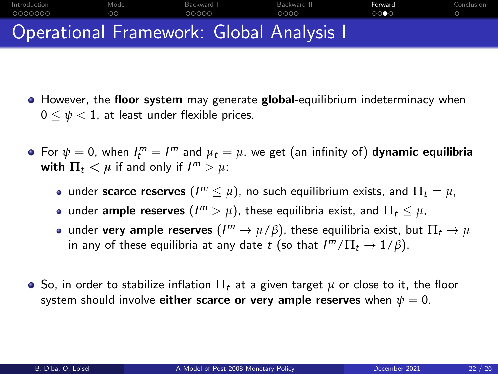### <span id="page-21-0"></span>[Introduction](#page-1-0) [Model](#page-8-0) [Backward I](#page-10-0) [Backward II](#page-15-0) Backward II [Forward](#page-19-0) [Conclusion](#page-23-0) Operational Framework: Global Analysis I

- **•** However, the floor system may generate global-equilibrium indeterminacy when  $0 \leq \psi < 1$ , at least under flexible prices.
- For  $\psi = 0$ , when  $I_t^m = I^m$  and  $\mu_t = \mu$ , we get (an infinity of) **dynamic equilibria** with  $\Pi_t < \mu$  if and only if  $I^m > \mu$ :
	- under scarce reserves  $(I^m \leq \mu)$ , no such equilibrium exists, and  $\Pi_t = \mu$ ,
	- under  $\textsf{ample}\,\, \textsf{reserves}\,\, (I^m>\mu),$  these equilibria exist, and  $\Pi_t\leq \mu,$
	- under  $\textbf{very ample reserves } (I^m \to \mu/\beta)$ , these equilibria exist, but  $\Pi_t \to \mu$ in any of these equilibria at any date  $t$  (so that  $I^m/\Pi_t \to 1/\beta$ ).
- $\bullet$  So, in order to stabilize inflation  $\Pi_t$  at a given target  $\mu$  or close to it, the floor system should involve either scarce or very ample reserves when  $\psi = 0$ .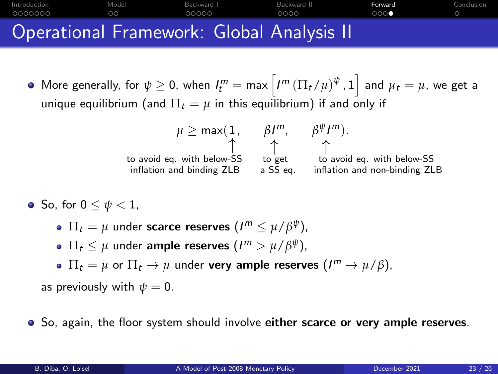#### <span id="page-22-0"></span>[Introduction](#page-1-0) [Model](#page-8-0) [Backward I](#page-10-0) [Backward II](#page-15-0) Backward II [Forward](#page-19-0) [Conclusion](#page-23-0) nnnnnr Operational Framework: Global Analysis II

 $\mathsf{More\ generally, for } \ \psi\geq 0, \text{ when } \ I^m_t=\mathsf{max}\left[ I^m \left(\Pi_t/\mu\right)^\psi, 1 \right] \text{ and } \mu_t=\mu, \text{ we get a}$ unique equilibrium (and  $\Pi_t = \mu$  in this equilibrium) if and only if

$$
\mu \geq \max(1, \beta I^m, \beta^{\psi} I^m).
$$
  
to avoid eq. with below-SS  
inflation and binding ZLB  

$$
\alpha \geq \beta \geq \beta
$$
  
is a SS eq. inflation and non-binding ZLB

- $\bullet$  So, for  $0 \leq \psi \leq 1$ .
	- $\Pi_t = \mu$  under scarce reserves  $(I^m \leq \mu/\beta^{\psi}),$
	- $\Pi_t \leq \mu$  under ample reserves  $(I^m > \mu/\beta^{\psi}),$
	- $\Pi_t = \mu$  or  $\Pi_t \to \mu$  under **very ample reserves**  $(I^m \to \mu/\beta)$ ,
	- as previously with  $\psi = 0$ .
- So, again, the floor system should involve either scarce or very ample reserves.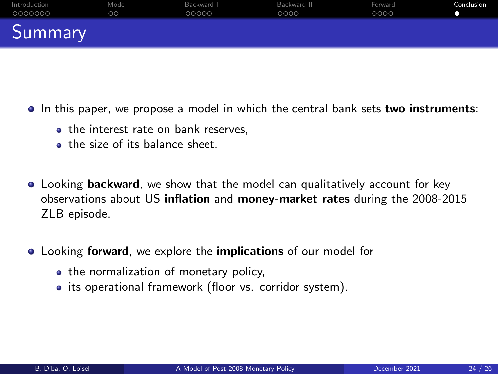<span id="page-23-0"></span>

| Introduction | Model | Backward I | Backward II | Forward | Conclusion |
|--------------|-------|------------|-------------|---------|------------|
| 0000000      | OΟ    | 00000      | 0000        | 0000    |            |
| Summary      |       |            |             |         |            |

- In this paper, we propose a model in which the central bank sets two instruments:
	- the interest rate on bank reserves.
	- **the size of its balance sheet.**
- Looking backward, we show that the model can qualitatively account for key observations about US inflation and money-market rates during the 2008-2015 ZLB episode.
- **Looking forward**, we explore the *implications* of our model for
	- the normalization of monetary policy,
	- its operational framework (floor vs. corridor system).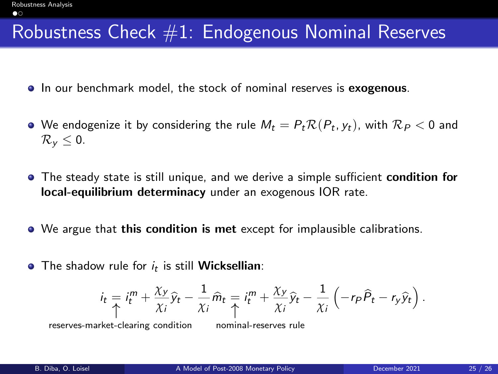#### <span id="page-24-0"></span>Robustness Check #1: Endogenous Nominal Reserves

- In our benchmark model, the stock of nominal reserves is exogenous.
- We endogenize it by considering the rule  $M_t = P_t \mathcal{R}(P_t, y_t)$ , with  $\mathcal{R}_P < 0$  and  $\mathcal{R}_v \leq 0$ .
- **•** The steady state is still unique, and we derive a simple sufficient condition for local-equilibrium determinacy under an exogenous IOR rate.
- We argue that this condition is met except for implausible calibrations.
- The shadow rule for  $i_t$  is still **Wicksellian**:

$$
i_t = i_t^m + \frac{\chi_y}{\chi_i} \widehat{y}_t - \frac{1}{\chi_i} \widehat{m}_t = i_t^m + \frac{\chi_y}{\chi_i} \widehat{y}_t - \frac{1}{\chi_i} \left( -r_P \widehat{P}_t - r_y \widehat{y}_t \right).
$$

reserves-market-clearing condition nominal-reserves rule